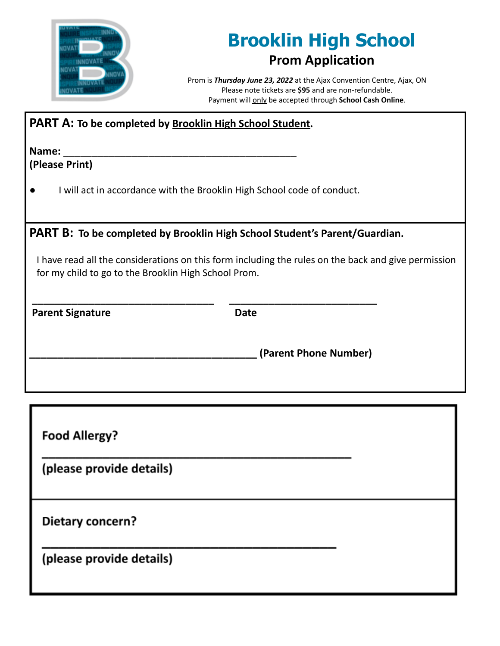

## **Brooklin High School Prom Application**

Prom is *Thursday June 23, 2022* at the Ajax Convention Centre, Ajax, ON Please note tickets are **\$95** and are non-refundable. Payment will only be accepted through **School Cash Online**.

| <b>PART A: To be completed by Brooklin High School Student.</b>                                                                                                                                                                                  |                       |  |
|--------------------------------------------------------------------------------------------------------------------------------------------------------------------------------------------------------------------------------------------------|-----------------------|--|
| Name:<br>(Please Print)                                                                                                                                                                                                                          |                       |  |
| I will act in accordance with the Brooklin High School code of conduct.                                                                                                                                                                          |                       |  |
| <b>PART B: To be completed by Brooklin High School Student's Parent/Guardian.</b><br>I have read all the considerations on this form including the rules on the back and give permission<br>for my child to go to the Brooklin High School Prom. |                       |  |
| <b>Parent Signature</b>                                                                                                                                                                                                                          | <b>Date</b>           |  |
|                                                                                                                                                                                                                                                  | (Parent Phone Number) |  |
|                                                                                                                                                                                                                                                  |                       |  |

**Food Allergy?** 

(please provide details)

Dietary concern?

(please provide details)